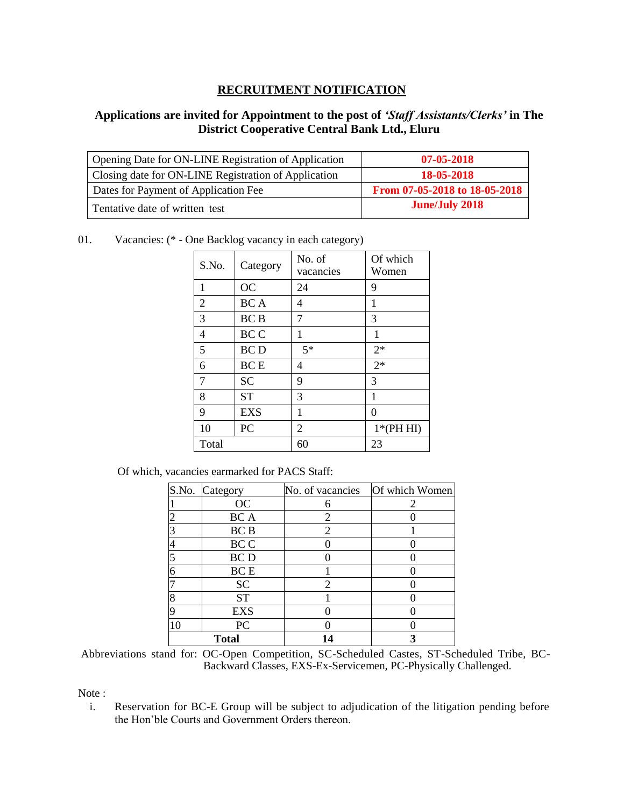## **RECRUITMENT NOTIFICATION**

## **Applications are invited for Appointment to the post of** *'Staff Assistants/Clerks'* **in The District Cooperative Central Bank Ltd., Eluru**

| Opening Date for ON-LINE Registration of Application | 07-05-2018                    |
|------------------------------------------------------|-------------------------------|
| Closing date for ON-LINE Registration of Application | 18-05-2018                    |
| Dates for Payment of Application Fee                 | From 07-05-2018 to 18-05-2018 |
| l Tentative date of written test                     | <b>June/July 2018</b>         |

01. Vacancies: (\* - One Backlog vacancy in each category)

| S.No. | Category   | Of which<br>No. of<br>Women<br>vacancies |            |
|-------|------------|------------------------------------------|------------|
| 1     | <b>OC</b>  | 24                                       | 9          |
| 2     | <b>BCA</b> | 4                                        | 1          |
| 3     | <b>BCB</b> | 7                                        | 3          |
| 4     | <b>BCC</b> | 1                                        | 1          |
| 5     | <b>BCD</b> | $5*$                                     | $2*$       |
| 6     | <b>BCE</b> | 4                                        | $2*$       |
| 7     | <b>SC</b>  | 9                                        | 3          |
| 8     | <b>ST</b>  | 3                                        | 1          |
| 9     | <b>EXS</b> | 1                                        | $\Omega$   |
| 10    | PC         | 2                                        | $1*(PHHI)$ |
| Total |            | 60                                       | 23         |

Of which, vacancies earmarked for PACS Staff:

|    | S.No. Category | No. of vacancies | Of which Women |  |
|----|----------------|------------------|----------------|--|
|    | OC             | 6                |                |  |
|    | BC A           | $\mathfrak{D}$   |                |  |
|    | <b>BCB</b>     | 2                |                |  |
|    | BC C           |                  |                |  |
|    | <b>BCD</b>     |                  |                |  |
|    | <b>BCE</b>     |                  |                |  |
|    | <b>SC</b>      | 2                |                |  |
|    | <b>ST</b>      |                  |                |  |
|    | <b>EXS</b>     |                  |                |  |
| 10 | PC             |                  |                |  |
|    | <b>Total</b>   | 4                |                |  |

Abbreviations stand for: OC-Open Competition, SC-Scheduled Castes, ST-Scheduled Tribe, BC-Backward Classes, EXS-Ex-Servicemen, PC-Physically Challenged.

Note :

i. Reservation for BC-E Group will be subject to adjudication of the litigation pending before the Hon'ble Courts and Government Orders thereon.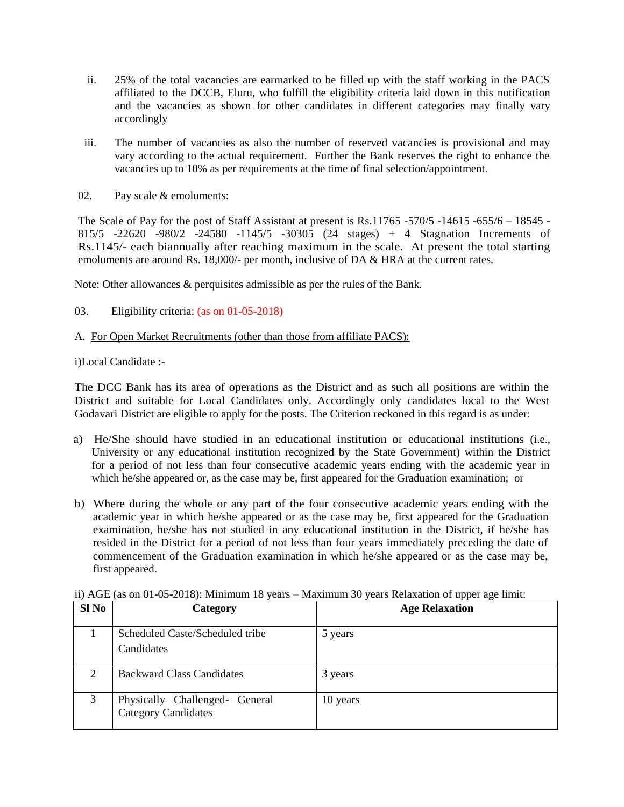- ii. 25% of the total vacancies are earmarked to be filled up with the staff working in the PACS affiliated to the DCCB, Eluru, who fulfill the eligibility criteria laid down in this notification and the vacancies as shown for other candidates in different categories may finally vary accordingly
- iii. The number of vacancies as also the number of reserved vacancies is provisional and may vary according to the actual requirement. Further the Bank reserves the right to enhance the vacancies up to 10% as per requirements at the time of final selection/appointment.
- 02. Pay scale & emoluments:

The Scale of Pay for the post of Staff Assistant at present is Rs.11765 -570/5 -14615 -655/6 – 18545 - 815/5 -22620 -980/2 -24580 -1145/5 -30305 (24 stages) + 4 Stagnation Increments of Rs.1145/- each biannually after reaching maximum in the scale. At present the total starting emoluments are around Rs. 18,000/- per month, inclusive of DA & HRA at the current rates.

Note: Other allowances & perquisites admissible as per the rules of the Bank.

### 03. Eligibility criteria: (as on 01-05-2018)

### A. For Open Market Recruitments (other than those from affiliate PACS):

i)Local Candidate :-

The DCC Bank has its area of operations as the District and as such all positions are within the District and suitable for Local Candidates only. Accordingly only candidates local to the West Godavari District are eligible to apply for the posts. The Criterion reckoned in this regard is as under:

- a) He/She should have studied in an educational institution or educational institutions (i.e., University or any educational institution recognized by the State Government) within the District for a period of not less than four consecutive academic years ending with the academic year in which he/she appeared or, as the case may be, first appeared for the Graduation examination; or
- b) Where during the whole or any part of the four consecutive academic years ending with the academic year in which he/she appeared or as the case may be, first appeared for the Graduation examination, he/she has not studied in any educational institution in the District, if he/she has resided in the District for a period of not less than four years immediately preceding the date of commencement of the Graduation examination in which he/she appeared or as the case may be, first appeared.

| $S1$ No | Category                                                     | <b>Age Relaxation</b> |
|---------|--------------------------------------------------------------|-----------------------|
|         | Scheduled Caste/Scheduled tribe<br>Candidates                | 5 years               |
| 2       | <b>Backward Class Candidates</b>                             | 3 years               |
| 3       | Physically Challenged- General<br><b>Category Candidates</b> | 10 years              |

ii) AGE (as on 01-05-2018): Minimum 18 years – Maximum 30 years Relaxation of upper age limit: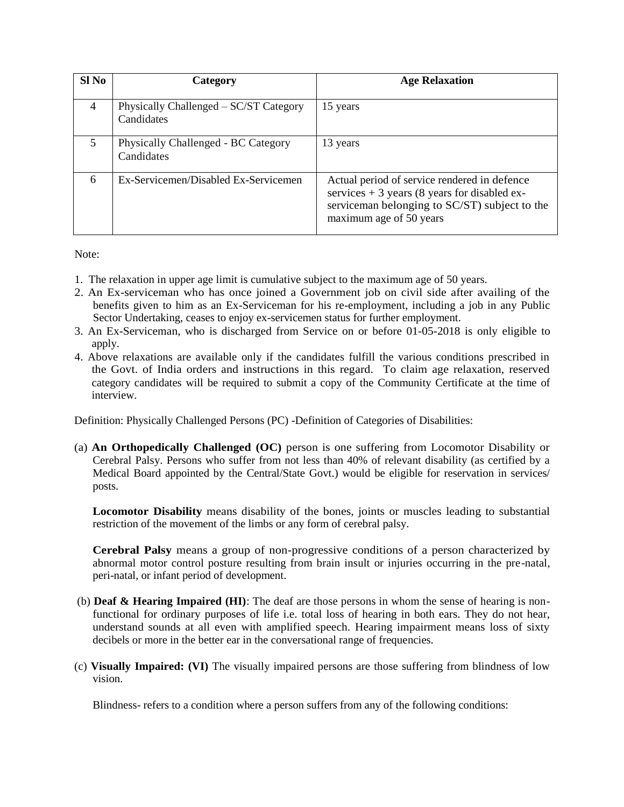| Sl <sub>No</sub> | Category                                             | <b>Age Relaxation</b>                                                                                                                                                     |
|------------------|------------------------------------------------------|---------------------------------------------------------------------------------------------------------------------------------------------------------------------------|
| $\overline{4}$   | Physically Challenged – SC/ST Category<br>Candidates | 15 years                                                                                                                                                                  |
| 5                | Physically Challenged - BC Category<br>Candidates    | 13 years                                                                                                                                                                  |
| 6                | Ex-Servicemen/Disabled Ex-Servicemen                 | Actual period of service rendered in defence<br>services $+3$ years (8 years for disabled ex-<br>serviceman belonging to SC/ST) subject to the<br>maximum age of 50 years |

Note:

- 1. The relaxation in upper age limit is cumulative subject to the maximum age of 50 years.
- 2. An Ex-serviceman who has once joined a Government job on civil side after availing of the benefits given to him as an Ex-Serviceman for his re-employment, including a job in any Public Sector Undertaking, ceases to enjoy ex-servicemen status for further employment.
- 3. An Ex-Serviceman, who is discharged from Service on or before 01-05-2018 is only eligible to apply.
- 4. Above relaxations are available only if the candidates fulfill the various conditions prescribed in the Govt. of India orders and instructions in this regard. To claim age relaxation, reserved category candidates will be required to submit a copy of the Community Certificate at the time of interview.

Definition: Physically Challenged Persons (PC) -Definition of Categories of Disabilities:

(a) **An Orthopedically Challenged (OC)** person is one suffering from Locomotor Disability or Cerebral Palsy. Persons who suffer from not less than 40% of relevant disability (as certified by a Medical Board appointed by the Central/State Govt.) would be eligible for reservation in services/ posts.

**Locomotor Disability** means disability of the bones, joints or muscles leading to substantial restriction of the movement of the limbs or any form of cerebral palsy.

**Cerebral Palsy** means a group of non-progressive conditions of a person characterized by abnormal motor control posture resulting from brain insult or injuries occurring in the pre-natal, peri-natal, or infant period of development.

- (b) **Deaf & Hearing Impaired (HI)**: The deaf are those persons in whom the sense of hearing is nonfunctional for ordinary purposes of life i.e. total loss of hearing in both ears. They do not hear, understand sounds at all even with amplified speech. Hearing impairment means loss of sixty decibels or more in the better ear in the conversational range of frequencies.
- (c) **Visually Impaired: (VI)** The visually impaired persons are those suffering from blindness of low vision.

Blindness- refers to a condition where a person suffers from any of the following conditions: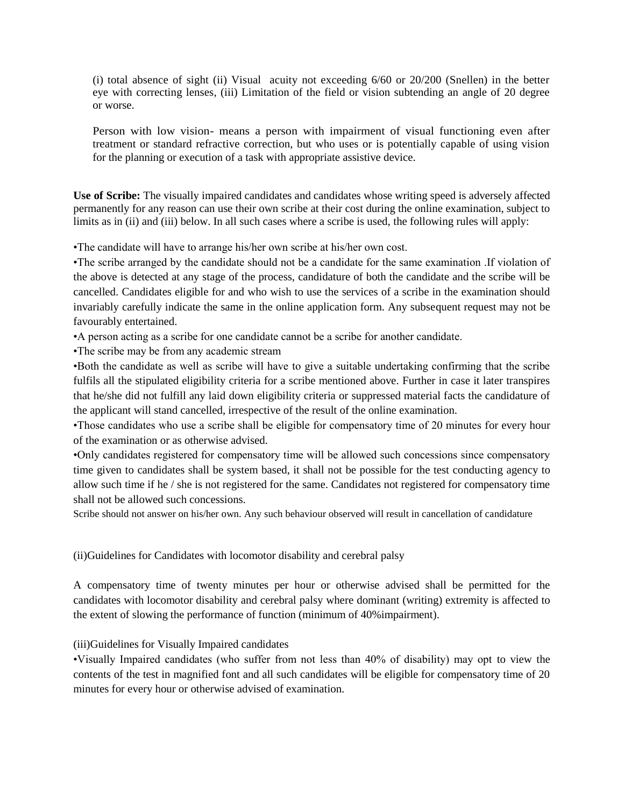(i) total absence of sight (ii) Visual acuity not exceeding 6/60 or 20/200 (Snellen) in the better eye with correcting lenses, (iii) Limitation of the field or vision subtending an angle of 20 degree or worse.

Person with low vision- means a person with impairment of visual functioning even after treatment or standard refractive correction, but who uses or is potentially capable of using vision for the planning or execution of a task with appropriate assistive device.

**Use of Scribe:** The visually impaired candidates and candidates whose writing speed is adversely affected permanently for any reason can use their own scribe at their cost during the online examination, subject to limits as in (ii) and (iii) below. In all such cases where a scribe is used, the following rules will apply:

•The candidate will have to arrange his/her own scribe at his/her own cost.

•The scribe arranged by the candidate should not be a candidate for the same examination .If violation of the above is detected at any stage of the process, candidature of both the candidate and the scribe will be cancelled. Candidates eligible for and who wish to use the services of a scribe in the examination should invariably carefully indicate the same in the online application form. Any subsequent request may not be favourably entertained.

•A person acting as a scribe for one candidate cannot be a scribe for another candidate.

•The scribe may be from any academic stream

•Both the candidate as well as scribe will have to give a suitable undertaking confirming that the scribe fulfils all the stipulated eligibility criteria for a scribe mentioned above. Further in case it later transpires that he/she did not fulfill any laid down eligibility criteria or suppressed material facts the candidature of the applicant will stand cancelled, irrespective of the result of the online examination.

•Those candidates who use a scribe shall be eligible for compensatory time of 20 minutes for every hour of the examination or as otherwise advised.

•Only candidates registered for compensatory time will be allowed such concessions since compensatory time given to candidates shall be system based, it shall not be possible for the test conducting agency to allow such time if he / she is not registered for the same. Candidates not registered for compensatory time shall not be allowed such concessions.

Scribe should not answer on his/her own. Any such behaviour observed will result in cancellation of candidature

(ii)Guidelines for Candidates with locomotor disability and cerebral palsy

A compensatory time of twenty minutes per hour or otherwise advised shall be permitted for the candidates with locomotor disability and cerebral palsy where dominant (writing) extremity is affected to the extent of slowing the performance of function (minimum of 40%impairment).

## (iii)Guidelines for Visually Impaired candidates

•Visually Impaired candidates (who suffer from not less than 40% of disability) may opt to view the contents of the test in magnified font and all such candidates will be eligible for compensatory time of 20 minutes for every hour or otherwise advised of examination.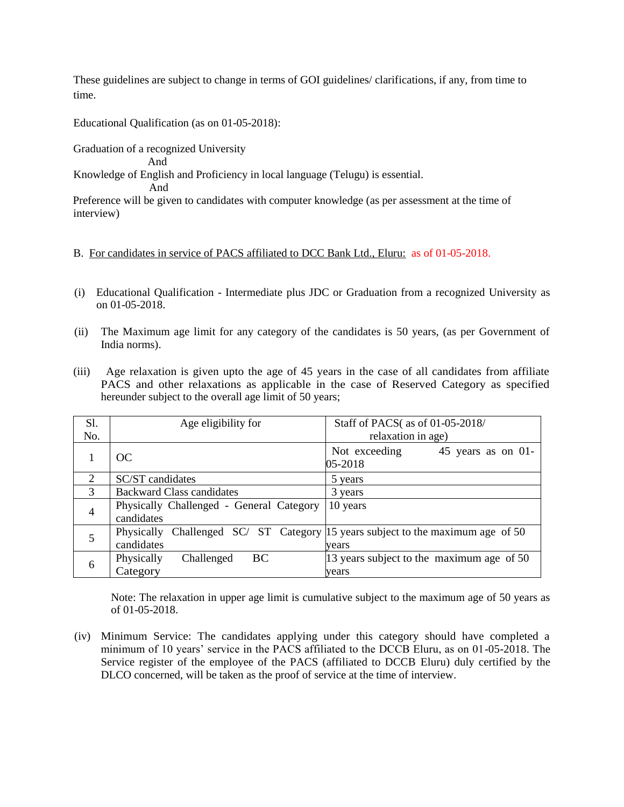These guidelines are subject to change in terms of GOI guidelines/ clarifications, if any, from time to time.

Educational Qualification (as on 01-05-2018):

Graduation of a recognized University

And

Knowledge of English and Proficiency in local language (Telugu) is essential.

And

 Preference will be given to candidates with computer knowledge (as per assessment at the time of interview)

### B. For candidates in service of PACS affiliated to DCC Bank Ltd., Eluru: as of 01-05-2018.

- (i) Educational Qualification Intermediate plus JDC or Graduation from a recognized University as on 01-05-2018.
- (ii) The Maximum age limit for any category of the candidates is 50 years, (as per Government of India norms).
- (iii) Age relaxation is given upto the age of 45 years in the case of all candidates from affiliate PACS and other relaxations as applicable in the case of Reserved Category as specified hereunder subject to the overall age limit of 50 years;

| S1.            | Age eligibility for                                    | Staff of PACS( as of 01-05-2018/                                              |
|----------------|--------------------------------------------------------|-------------------------------------------------------------------------------|
| No.            |                                                        | relaxation in age)                                                            |
|                | OC                                                     | Not exceeding<br>45 years as on 01-<br>05-2018                                |
| 2              | SC/ST candidates                                       | 5 years                                                                       |
| 3              | <b>Backward Class candidates</b>                       | 3 years                                                                       |
| $\overline{4}$ | Physically Challenged - General Category<br>candidates | 10 years                                                                      |
|                | Physically<br>candidates                               | Challenged SC/ ST Category 15 years subject to the maximum age of 50<br>vears |
| 6              | Physically<br>Challenged<br><b>BC</b><br>Category      | 13 years subject to the maximum age of 50<br>years                            |

Note: The relaxation in upper age limit is cumulative subject to the maximum age of 50 years as of 01-05-2018.

(iv) Minimum Service: The candidates applying under this category should have completed a minimum of 10 years' service in the PACS affiliated to the DCCB Eluru, as on 01-05-2018. The Service register of the employee of the PACS (affiliated to DCCB Eluru) duly certified by the DLCO concerned, will be taken as the proof of service at the time of interview.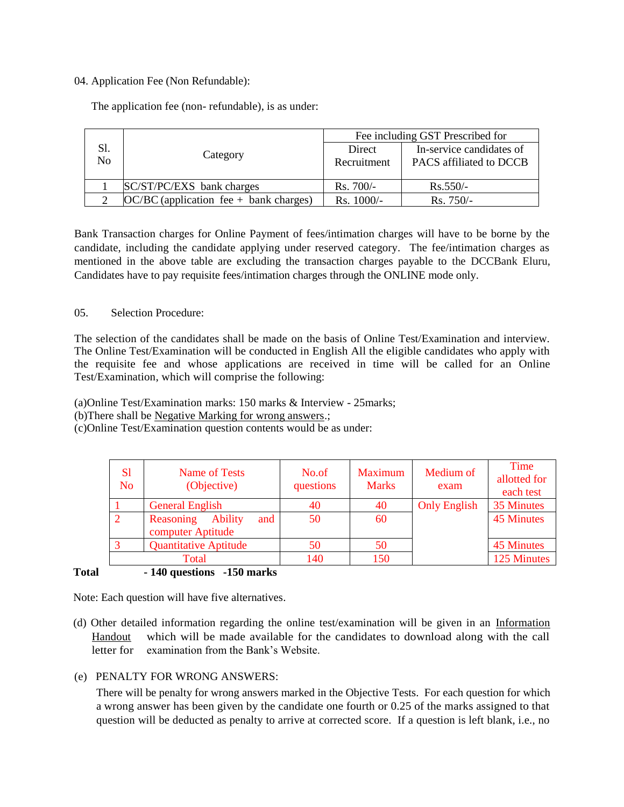#### 04. Application Fee (Non Refundable):

The application fee (non- refundable), is as under:

|           |                                          | Fee including GST Prescribed for |                                                     |  |
|-----------|------------------------------------------|----------------------------------|-----------------------------------------------------|--|
| Sl.<br>No | Category                                 | Direct<br>Recruitment            | In-service candidates of<br>PACS affiliated to DCCB |  |
|           |                                          |                                  |                                                     |  |
|           | SC/ST/PC/EXS bank charges                | $Rs.700/-$                       | $Rs.550/-$                                          |  |
|           | $OC/BC$ (application fee + bank charges) | Rs. 1000/-                       | $Rs.750/-$                                          |  |

Bank Transaction charges for Online Payment of fees/intimation charges will have to be borne by the candidate, including the candidate applying under reserved category. The fee/intimation charges as mentioned in the above table are excluding the transaction charges payable to the DCCBank Eluru, Candidates have to pay requisite fees/intimation charges through the ONLINE mode only.

### 05. Selection Procedure:

The selection of the candidates shall be made on the basis of Online Test/Examination and interview. The Online Test/Examination will be conducted in English All the eligible candidates who apply with the requisite fee and whose applications are received in time will be called for an Online Test/Examination, which will comprise the following:

(a)Online Test/Examination marks: 150 marks & Interview - 25marks;

(b)There shall be Negative Marking for wrong answers.;

(c)Online Test/Examination question contents would be as under:

| S <sub>1</sub><br>No. | Name of Tests<br>(Objective)                            | No.of<br>questions | Maximum<br><b>Marks</b> | Medium of<br>exam   | Time<br>allotted for<br>each test |
|-----------------------|---------------------------------------------------------|--------------------|-------------------------|---------------------|-----------------------------------|
|                       | <b>General English</b>                                  | 40                 | 40                      | <b>Only English</b> | 35 Minutes                        |
| $\overline{2}$        | <b>Ability</b><br>and<br>Reasoning<br>computer Aptitude | 50                 | 60                      |                     | <b>45 Minutes</b>                 |
| 3                     | <b>Quantitative Aptitude</b>                            | 50                 | 50                      |                     | 45 Minutes                        |
|                       | Total                                                   | 140                | 150                     |                     | 125 Minutes                       |

## **Total - 140 questions -150 marks**

Note: Each question will have five alternatives.

(d) Other detailed information regarding the online test/examination will be given in an Information Handout which will be made available for the candidates to download along with the call letter for examination from the Bank's Website.

## (e) PENALTY FOR WRONG ANSWERS:

There will be penalty for wrong answers marked in the Objective Tests. For each question for which a wrong answer has been given by the candidate one fourth or 0.25 of the marks assigned to that question will be deducted as penalty to arrive at corrected score. If a question is left blank, i.e., no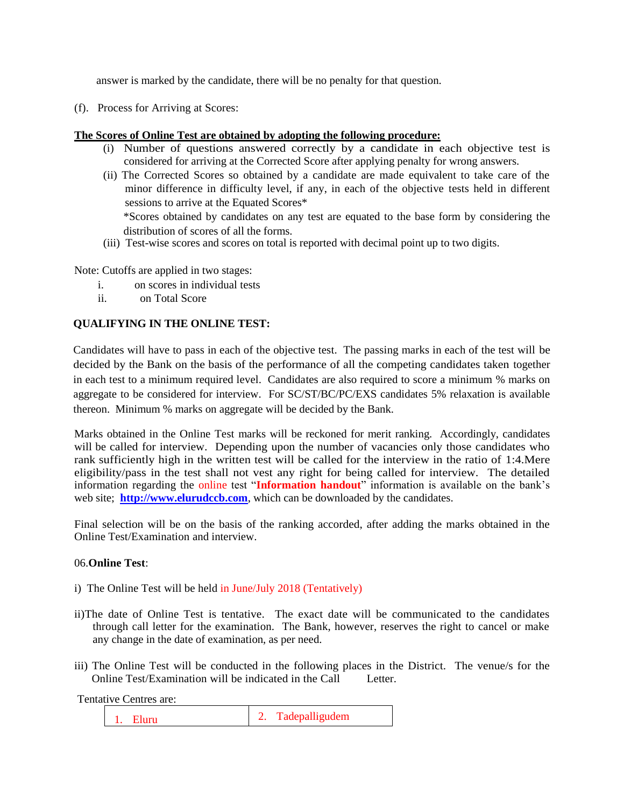answer is marked by the candidate, there will be no penalty for that question.

(f). Process for Arriving at Scores:

### **The Scores of Online Test are obtained by adopting the following procedure:**

- (i) Number of questions answered correctly by a candidate in each objective test is considered for arriving at the Corrected Score after applying penalty for wrong answers.
- (ii) The Corrected Scores so obtained by a candidate are made equivalent to take care of the minor difference in difficulty level, if any, in each of the objective tests held in different sessions to arrive at the Equated Scores\* \*Scores obtained by candidates on any test are equated to the base form by considering the distribution of scores of all the forms.
- (iii) Test-wise scores and scores on total is reported with decimal point up to two digits.

Note: Cutoffs are applied in two stages:

- i. on scores in individual tests
- ii. on Total Score

### **QUALIFYING IN THE ONLINE TEST:**

Candidates will have to pass in each of the objective test. The passing marks in each of the test will be decided by the Bank on the basis of the performance of all the competing candidates taken together in each test to a minimum required level. Candidates are also required to score a minimum % marks on aggregate to be considered for interview. For SC/ST/BC/PC/EXS candidates 5% relaxation is available thereon. Minimum % marks on aggregate will be decided by the Bank.

Marks obtained in the Online Test marks will be reckoned for merit ranking. Accordingly, candidates will be called for interview. Depending upon the number of vacancies only those candidates who rank sufficiently high in the written test will be called for the interview in the ratio of 1:4.Mere eligibility/pass in the test shall not vest any right for being called for interview. The detailed information regarding the online test "**Information handout**" information is available on the bank's web site; **[http://www.elurudccb.com](http://www.elurudccb.com/)**, which can be downloaded by the candidates.

Final selection will be on the basis of the ranking accorded, after adding the marks obtained in the Online Test/Examination and interview.

#### 06.**Online Test**:

- i) The Online Test will be held in June/July 2018 (Tentatively)
- ii)The date of Online Test is tentative. The exact date will be communicated to the candidates through call letter for the examination. The Bank, however, reserves the right to cancel or make any change in the date of examination, as per need.
- iii) The Online Test will be conducted in the following places in the District. The venue/s for the Online Test/Examination will be indicated in the Call Letter.

Tentative Centres are:

1. Eluru 2. Tadepalligudem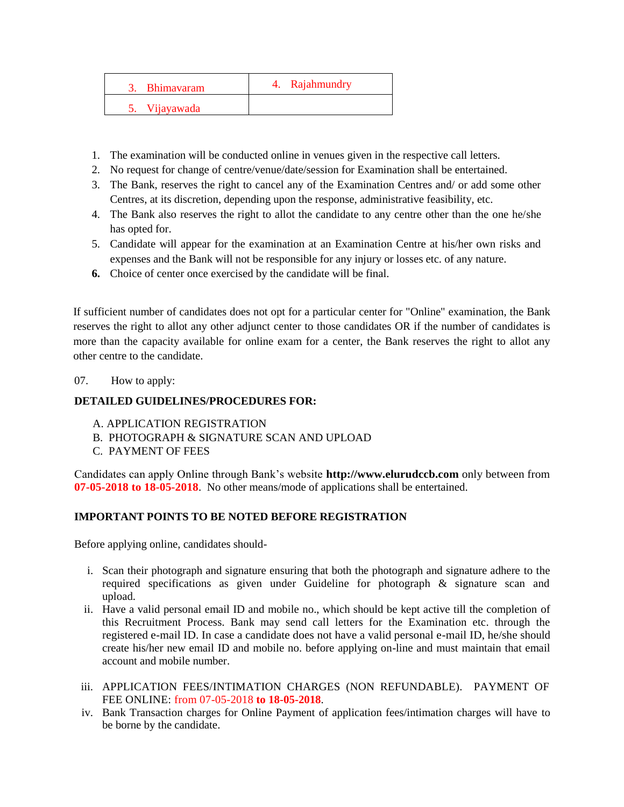| 3. Bhimayaram | 4. Rajahmundry |
|---------------|----------------|
| 5. Vijayawada |                |

- 1. The examination will be conducted online in venues given in the respective call letters.
- 2. No request for change of centre/venue/date/session for Examination shall be entertained.
- 3. The Bank, reserves the right to cancel any of the Examination Centres and/ or add some other Centres, at its discretion, depending upon the response, administrative feasibility, etc.
- 4. The Bank also reserves the right to allot the candidate to any centre other than the one he/she has opted for.
- 5. Candidate will appear for the examination at an Examination Centre at his/her own risks and expenses and the Bank will not be responsible for any injury or losses etc. of any nature.
- **6.** Choice of center once exercised by the candidate will be final.

If sufficient number of candidates does not opt for a particular center for "Online" examination, the Bank reserves the right to allot any other adjunct center to those candidates OR if the number of candidates is more than the capacity available for online exam for a center, the Bank reserves the right to allot any other centre to the candidate.

07. How to apply:

### **DETAILED GUIDELINES/PROCEDURES FOR:**

- A. APPLICATION REGISTRATION
- B. PHOTOGRAPH & SIGNATURE SCAN AND UPLOAD
- C. PAYMENT OF FEES

Candidates can apply Online through Bank's website **http://www.elurudccb.com** only between from **07-05-2018 to 18-05-2018**. No other means/mode of applications shall be entertained.

#### **IMPORTANT POINTS TO BE NOTED BEFORE REGISTRATION**

Before applying online, candidates should-

- i. Scan their photograph and signature ensuring that both the photograph and signature adhere to the required specifications as given under Guideline for photograph & signature scan and upload.
- ii. Have a valid personal email ID and mobile no., which should be kept active till the completion of this Recruitment Process. Bank may send call letters for the Examination etc. through the registered e-mail ID. In case a candidate does not have a valid personal e-mail ID, he/she should create his/her new email ID and mobile no. before applying on-line and must maintain that email account and mobile number.
- iii. APPLICATION FEES/INTIMATION CHARGES (NON REFUNDABLE). PAYMENT OF FEE ONLINE: from 07-05-2018 **to 18-05-2018**.
- iv. Bank Transaction charges for Online Payment of application fees/intimation charges will have to be borne by the candidate.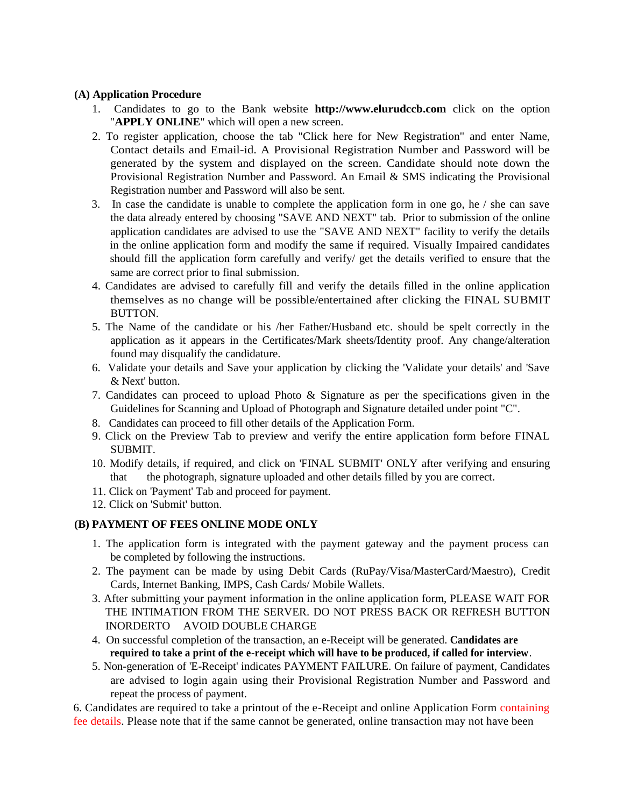#### **(A) Application Procedure**

- 1. Candidates to go to the Bank website **http://www.elurudccb.com** click on the option "**APPLY ONLINE**" which will open a new screen.
- 2. To register application, choose the tab "Click here for New Registration" and enter Name, Contact details and Email-id. A Provisional Registration Number and Password will be generated by the system and displayed on the screen. Candidate should note down the Provisional Registration Number and Password. An Email & SMS indicating the Provisional Registration number and Password will also be sent.
- 3. In case the candidate is unable to complete the application form in one go, he / she can save the data already entered by choosing "SAVE AND NEXT" tab. Prior to submission of the online application candidates are advised to use the "SAVE AND NEXT" facility to verify the details in the online application form and modify the same if required. Visually Impaired candidates should fill the application form carefully and verify/ get the details verified to ensure that the same are correct prior to final submission.
- 4. Candidates are advised to carefully fill and verify the details filled in the online application themselves as no change will be possible/entertained after clicking the FINAL SUBMIT BUTTON.
- 5. The Name of the candidate or his /her Father/Husband etc. should be spelt correctly in the application as it appears in the Certificates/Mark sheets/Identity proof. Any change/alteration found may disqualify the candidature.
- 6. Validate your details and Save your application by clicking the 'Validate your details' and 'Save & Next' button.
- 7. Candidates can proceed to upload Photo & Signature as per the specifications given in the Guidelines for Scanning and Upload of Photograph and Signature detailed under point "C".
- 8. Candidates can proceed to fill other details of the Application Form.
- 9. Click on the Preview Tab to preview and verify the entire application form before FINAL SUBMIT.
- 10. Modify details, if required, and click on 'FINAL SUBMIT' ONLY after verifying and ensuring that the photograph, signature uploaded and other details filled by you are correct.
- 11. Click on 'Payment' Tab and proceed for payment.
- 12. Click on 'Submit' button.

## **(B) PAYMENT OF FEES ONLINE MODE ONLY**

- 1. The application form is integrated with the payment gateway and the payment process can be completed by following the instructions.
- 2. The payment can be made by using Debit Cards (RuPay/Visa/MasterCard/Maestro), Credit Cards, Internet Banking, IMPS, Cash Cards/ Mobile Wallets.
- 3. After submitting your payment information in the online application form, PLEASE WAIT FOR THE INTIMATION FROM THE SERVER. DO NOT PRESS BACK OR REFRESH BUTTON INORDERTO AVOID DOUBLE CHARGE
- 4. On successful completion of the transaction, an e-Receipt will be generated. **Candidates are required to take a print of the e-receipt which will have to be produced, if called for interview**.
- 5. Non-generation of 'E-Receipt' indicates PAYMENT FAILURE. On failure of payment, Candidates are advised to login again using their Provisional Registration Number and Password and repeat the process of payment.

6. Candidates are required to take a printout of the e-Receipt and online Application Form containing fee details. Please note that if the same cannot be generated, online transaction may not have been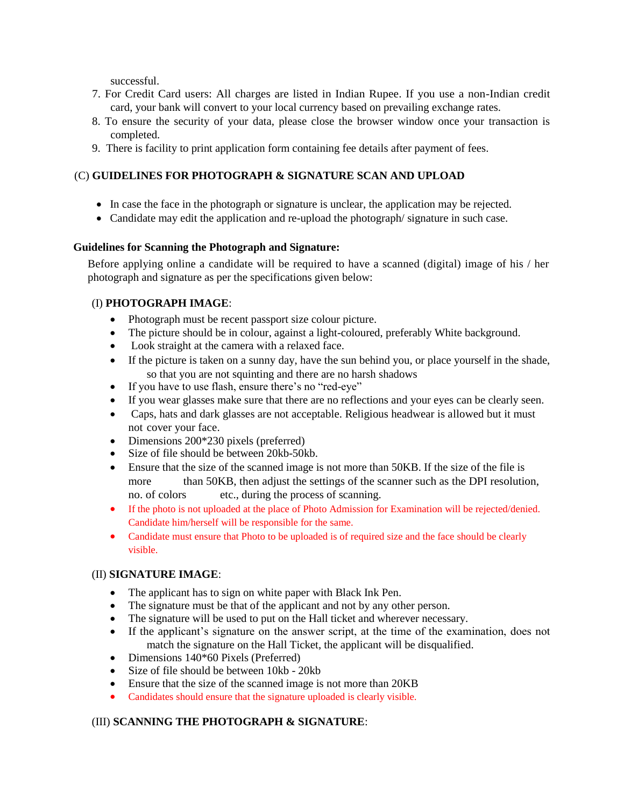successful.

- 7. For Credit Card users: All charges are listed in Indian Rupee. If you use a non-Indian credit card, your bank will convert to your local currency based on prevailing exchange rates.
- 8. To ensure the security of your data, please close the browser window once your transaction is completed.
- 9. There is facility to print application form containing fee details after payment of fees.

## (C) **GUIDELINES FOR PHOTOGRAPH & SIGNATURE SCAN AND UPLOAD**

- In case the face in the photograph or signature is unclear, the application may be rejected.
- Candidate may edit the application and re-upload the photograph/ signature in such case.

## **Guidelines for Scanning the Photograph and Signature:**

Before applying online a candidate will be required to have a scanned (digital) image of his / her photograph and signature as per the specifications given below:

## (I) **PHOTOGRAPH IMAGE**:

- Photograph must be recent passport size colour picture.
- The picture should be in colour, against a light-coloured, preferably White background.
- Look straight at the camera with a relaxed face.
- If the picture is taken on a sunny day, have the sun behind you, or place yourself in the shade, so that you are not squinting and there are no harsh shadows
- If you have to use flash, ensure there's no "red-eye"
- If you wear glasses make sure that there are no reflections and your eyes can be clearly seen.
- Caps, hats and dark glasses are not acceptable. Religious headwear is allowed but it must not cover your face.
- Dimensions 200\*230 pixels (preferred)
- Size of file should be between 20kb-50kb.
- Ensure that the size of the scanned image is not more than 50KB. If the size of the file is more than 50KB, then adjust the settings of the scanner such as the DPI resolution, no. of colors etc., during the process of scanning.
- If the photo is not uploaded at the place of Photo Admission for Examination will be rejected/denied. Candidate him/herself will be responsible for the same.
- Candidate must ensure that Photo to be uploaded is of required size and the face should be clearly visible.

## (II) **SIGNATURE IMAGE**:

- The applicant has to sign on white paper with Black Ink Pen.
- The signature must be that of the applicant and not by any other person.
- The signature will be used to put on the Hall ticket and wherever necessary.
- If the applicant's signature on the answer script, at the time of the examination, does not match the signature on the Hall Ticket, the applicant will be disqualified.
- Dimensions 140\*60 Pixels (Preferred)
- Size of file should be between 10kb 20kb
- Ensure that the size of the scanned image is not more than 20KB
- Candidates should ensure that the signature uploaded is clearly visible.

## (III) **SCANNING THE PHOTOGRAPH & SIGNATURE**: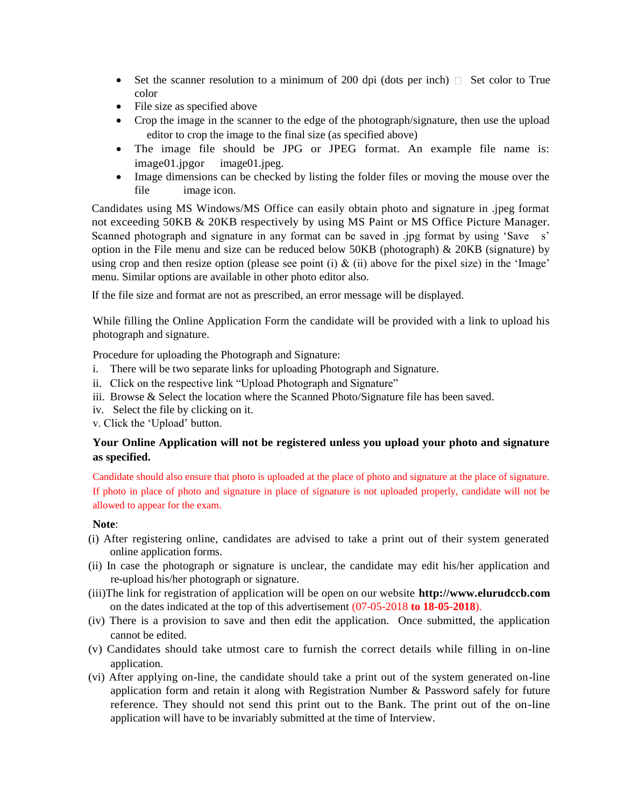- Set the scanner resolution to a minimum of 200 dpi (dots per inch)  $\Box$  Set color to True color
- File size as specified above
- Crop the image in the scanner to the edge of the photograph/signature, then use the upload editor to crop the image to the final size (as specified above)
- The image file should be JPG or JPEG format. An example file name is: image01.jpgor image01.jpeg.
- Image dimensions can be checked by listing the folder files or moving the mouse over the file image icon.

Candidates using MS Windows/MS Office can easily obtain photo and signature in .jpeg format not exceeding 50KB & 20KB respectively by using MS Paint or MS Office Picture Manager. Scanned photograph and signature in any format can be saved in .jpg format by using 'Save s' option in the File menu and size can be reduced below  $50KB$  (photograph)  $\&$  20KB (signature) by using crop and then resize option (please see point (i)  $\&$  (ii) above for the pixel size) in the 'Image' menu. Similar options are available in other photo editor also.

If the file size and format are not as prescribed, an error message will be displayed.

While filling the Online Application Form the candidate will be provided with a link to upload his photograph and signature.

Procedure for uploading the Photograph and Signature:

- i. There will be two separate links for uploading Photograph and Signature.
- ii. Click on the respective link "Upload Photograph and Signature"
- iii. Browse & Select the location where the Scanned Photo/Signature file has been saved.
- iv. Select the file by clicking on it.
- v. Click the 'Upload' button.

## **Your Online Application will not be registered unless you upload your photo and signature as specified.**

Candidate should also ensure that photo is uploaded at the place of photo and signature at the place of signature. If photo in place of photo and signature in place of signature is not uploaded properly, candidate will not be allowed to appear for the exam.

## **Note**:

- (i) After registering online, candidates are advised to take a print out of their system generated online application forms.
- (ii) In case the photograph or signature is unclear, the candidate may edit his/her application and re-upload his/her photograph or signature.
- (iii)The link for registration of application will be open on our website **http://www.elurudccb.com** on the dates indicated at the top of this advertisement (07-05-2018 **to 18-05-2018**).
- (iv) There is a provision to save and then edit the application. Once submitted, the application cannot be edited.
- (v) Candidates should take utmost care to furnish the correct details while filling in on-line application.
- (vi) After applying on-line, the candidate should take a print out of the system generated on-line application form and retain it along with Registration Number & Password safely for future reference. They should not send this print out to the Bank. The print out of the on-line application will have to be invariably submitted at the time of Interview.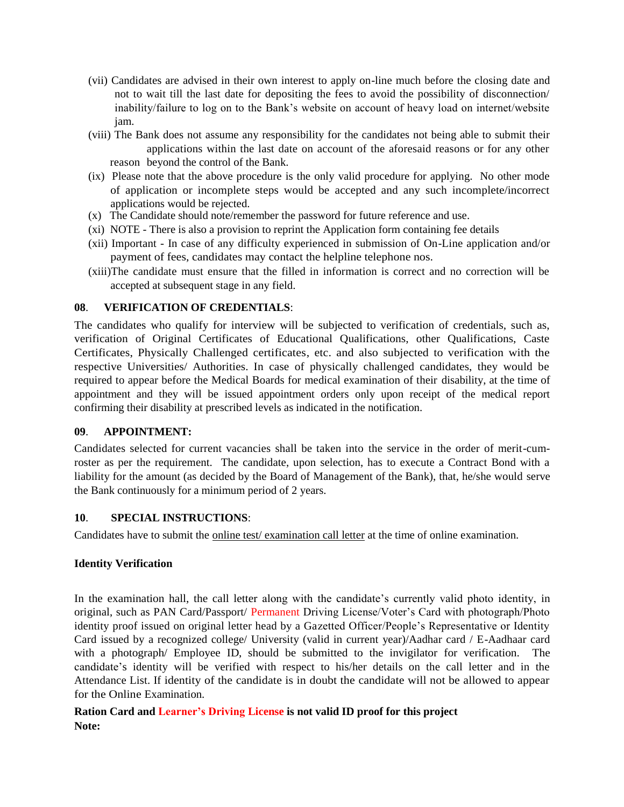- (vii) Candidates are advised in their own interest to apply on-line much before the closing date and not to wait till the last date for depositing the fees to avoid the possibility of disconnection/ inability/failure to log on to the Bank's website on account of heavy load on internet/website jam.
- (viii) The Bank does not assume any responsibility for the candidates not being able to submit their applications within the last date on account of the aforesaid reasons or for any other reason beyond the control of the Bank.
- (ix) Please note that the above procedure is the only valid procedure for applying. No other mode of application or incomplete steps would be accepted and any such incomplete/incorrect applications would be rejected.
- (x) The Candidate should note/remember the password for future reference and use.
- (xi) NOTE There is also a provision to reprint the Application form containing fee details
- (xii) Important In case of any difficulty experienced in submission of On-Line application and/or payment of fees, candidates may contact the helpline telephone nos.
- (xiii)The candidate must ensure that the filled in information is correct and no correction will be accepted at subsequent stage in any field.

### **08**. **VERIFICATION OF CREDENTIALS**:

The candidates who qualify for interview will be subjected to verification of credentials, such as, verification of Original Certificates of Educational Qualifications, other Qualifications, Caste Certificates, Physically Challenged certificates, etc. and also subjected to verification with the respective Universities/ Authorities. In case of physically challenged candidates, they would be required to appear before the Medical Boards for medical examination of their disability, at the time of appointment and they will be issued appointment orders only upon receipt of the medical report confirming their disability at prescribed levels as indicated in the notification.

#### **09**. **APPOINTMENT:**

Candidates selected for current vacancies shall be taken into the service in the order of merit-cumroster as per the requirement. The candidate, upon selection, has to execute a Contract Bond with a liability for the amount (as decided by the Board of Management of the Bank), that, he/she would serve the Bank continuously for a minimum period of 2 years.

#### **10**. **SPECIAL INSTRUCTIONS**:

Candidates have to submit the online test/ examination call letter at the time of online examination.

#### **Identity Verification**

In the examination hall, the call letter along with the candidate's currently valid photo identity, in original, such as PAN Card/Passport/ Permanent Driving License/Voter's Card with photograph/Photo identity proof issued on original letter head by a Gazetted Officer/People's Representative or Identity Card issued by a recognized college/ University (valid in current year)/Aadhar card / E-Aadhaar card with a photograph/ Employee ID, should be submitted to the invigilator for verification. The candidate's identity will be verified with respect to his/her details on the call letter and in the Attendance List. If identity of the candidate is in doubt the candidate will not be allowed to appear for the Online Examination.

## **Ration Card and Learner's Driving License is not valid ID proof for this project Note:**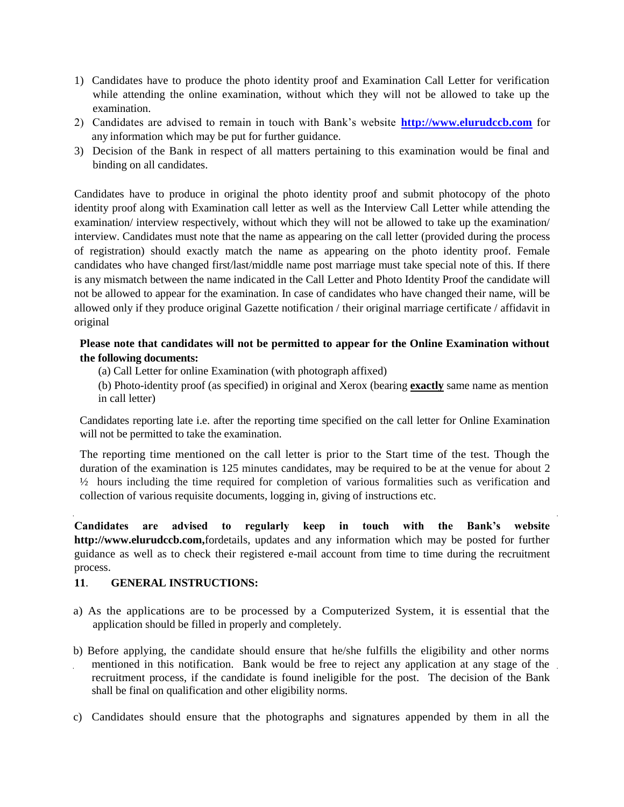- 1) Candidates have to produce the photo identity proof and Examination Call Letter for verification while attending the online examination, without which they will not be allowed to take up the examination.
- 2) Candidates are advised to remain in touch with Bank's website **[http://www.elurudccb.com](http://www.elurudccb.com/)** for any information which may be put for further guidance.
- 3) Decision of the Bank in respect of all matters pertaining to this examination would be final and binding on all candidates.

Candidates have to produce in original the photo identity proof and submit photocopy of the photo identity proof along with Examination call letter as well as the Interview Call Letter while attending the examination/ interview respectively, without which they will not be allowed to take up the examination/ interview. Candidates must note that the name as appearing on the call letter (provided during the process of registration) should exactly match the name as appearing on the photo identity proof. Female candidates who have changed first/last/middle name post marriage must take special note of this. If there is any mismatch between the name indicated in the Call Letter and Photo Identity Proof the candidate will not be allowed to appear for the examination. In case of candidates who have changed their name, will be allowed only if they produce original Gazette notification / their original marriage certificate / affidavit in original

## **Please note that candidates will not be permitted to appear for the Online Examination without the following documents:**

- (a) Call Letter for online Examination (with photograph affixed)
- (b) Photo-identity proof (as specified) in original and Xerox (bearing **exactly** same name as mention in call letter)

Candidates reporting late i.e. after the reporting time specified on the call letter for Online Examination will not be permitted to take the examination.

The reporting time mentioned on the call letter is prior to the Start time of the test. Though the duration of the examination is 125 minutes candidates, may be required to be at the venue for about 2 ½ hours including the time required for completion of various formalities such as verification and collection of various requisite documents, logging in, giving of instructions etc.

**Candidates are advised to regularly keep in touch with the Bank's website http://www.elurudccb.com,**fordetails, updates and any information which may be posted for further guidance as well as to check their registered e-mail account from time to time during the recruitment process.

## **11**. **GENERAL INSTRUCTIONS:**

- a) As the applications are to be processed by a Computerized System, it is essential that the application should be filled in properly and completely.
- b) Before applying, the candidate should ensure that he/she fulfills the eligibility and other norms mentioned in this notification. Bank would be free to reject any application at any stage of the recruitment process, if the candidate is found ineligible for the post. The decision of the Bank shall be final on qualification and other eligibility norms.
- c) Candidates should ensure that the photographs and signatures appended by them in all the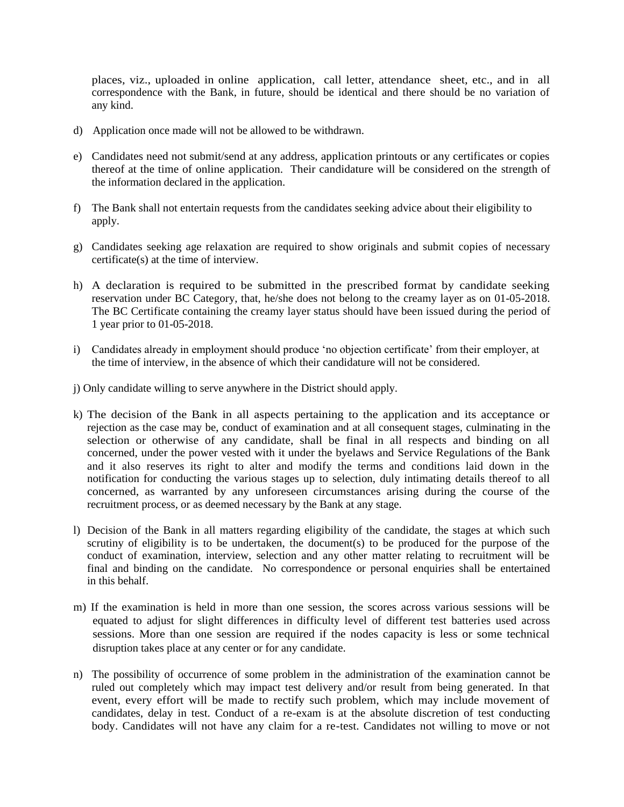places, viz., uploaded in online application, call letter, attendance sheet, etc., and in all correspondence with the Bank, in future, should be identical and there should be no variation of any kind.

- d) Application once made will not be allowed to be withdrawn.
- e) Candidates need not submit/send at any address, application printouts or any certificates or copies thereof at the time of online application. Their candidature will be considered on the strength of the information declared in the application.
- f) The Bank shall not entertain requests from the candidates seeking advice about their eligibility to apply.
- g) Candidates seeking age relaxation are required to show originals and submit copies of necessary certificate(s) at the time of interview.
- h) A declaration is required to be submitted in the prescribed format by candidate seeking reservation under BC Category, that, he/she does not belong to the creamy layer as on 01-05-2018. The BC Certificate containing the creamy layer status should have been issued during the period of 1 year prior to 01-05-2018.
- i) Candidates already in employment should produce 'no objection certificate' from their employer, at the time of interview, in the absence of which their candidature will not be considered.
- j) Only candidate willing to serve anywhere in the District should apply.
- k) The decision of the Bank in all aspects pertaining to the application and its acceptance or rejection as the case may be, conduct of examination and at all consequent stages, culminating in the selection or otherwise of any candidate, shall be final in all respects and binding on all concerned, under the power vested with it under the byelaws and Service Regulations of the Bank and it also reserves its right to alter and modify the terms and conditions laid down in the notification for conducting the various stages up to selection, duly intimating details thereof to all concerned, as warranted by any unforeseen circumstances arising during the course of the recruitment process, or as deemed necessary by the Bank at any stage.
- l) Decision of the Bank in all matters regarding eligibility of the candidate, the stages at which such scrutiny of eligibility is to be undertaken, the document(s) to be produced for the purpose of the conduct of examination, interview, selection and any other matter relating to recruitment will be final and binding on the candidate. No correspondence or personal enquiries shall be entertained in this behalf.
- m) If the examination is held in more than one session, the scores across various sessions will be equated to adjust for slight differences in difficulty level of different test batteries used across sessions. More than one session are required if the nodes capacity is less or some technical disruption takes place at any center or for any candidate.
- n) The possibility of occurrence of some problem in the administration of the examination cannot be ruled out completely which may impact test delivery and/or result from being generated. In that event, every effort will be made to rectify such problem, which may include movement of candidates, delay in test. Conduct of a re-exam is at the absolute discretion of test conducting body. Candidates will not have any claim for a re-test. Candidates not willing to move or not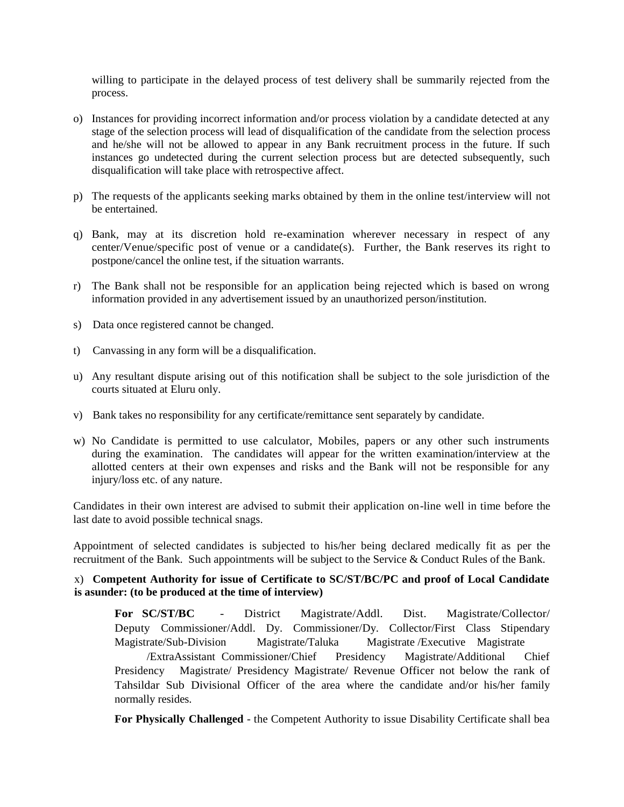willing to participate in the delayed process of test delivery shall be summarily rejected from the process.

- o) Instances for providing incorrect information and/or process violation by a candidate detected at any stage of the selection process will lead of disqualification of the candidate from the selection process and he/she will not be allowed to appear in any Bank recruitment process in the future. If such instances go undetected during the current selection process but are detected subsequently, such disqualification will take place with retrospective affect.
- p) The requests of the applicants seeking marks obtained by them in the online test/interview will not be entertained.
- q) Bank, may at its discretion hold re-examination wherever necessary in respect of any center/Venue/specific post of venue or a candidate(s). Further, the Bank reserves its right to postpone/cancel the online test, if the situation warrants.
- r) The Bank shall not be responsible for an application being rejected which is based on wrong information provided in any advertisement issued by an unauthorized person/institution.
- s) Data once registered cannot be changed.
- t) Canvassing in any form will be a disqualification.
- u) Any resultant dispute arising out of this notification shall be subject to the sole jurisdiction of the courts situated at Eluru only.
- v) Bank takes no responsibility for any certificate/remittance sent separately by candidate.
- w) No Candidate is permitted to use calculator, Mobiles, papers or any other such instruments during the examination. The candidates will appear for the written examination/interview at the allotted centers at their own expenses and risks and the Bank will not be responsible for any injury/loss etc. of any nature.

Candidates in their own interest are advised to submit their application on-line well in time before the last date to avoid possible technical snags.

Appointment of selected candidates is subjected to his/her being declared medically fit as per the recruitment of the Bank. Such appointments will be subject to the Service & Conduct Rules of the Bank.

#### x) **Competent Authority for issue of Certificate to SC/ST/BC/PC and proof of Local Candidate is asunder: (to be produced at the time of interview)**

**For SC/ST/BC** - District Magistrate/Addl. Dist. Magistrate/Collector/ Deputy Commissioner/Addl. Dy. Commissioner/Dy. Collector/First Class Stipendary Magistrate/Sub-Division Magistrate/Taluka Magistrate /Executive Magistrate

/ExtraAssistant Commissioner/Chief Presidency Magistrate/Additional Chief Presidency Magistrate/ Presidency Magistrate/ Revenue Officer not below the rank of Tahsildar Sub Divisional Officer of the area where the candidate and/or his/her family normally resides.

**For Physically Challenged** - the Competent Authority to issue Disability Certificate shall bea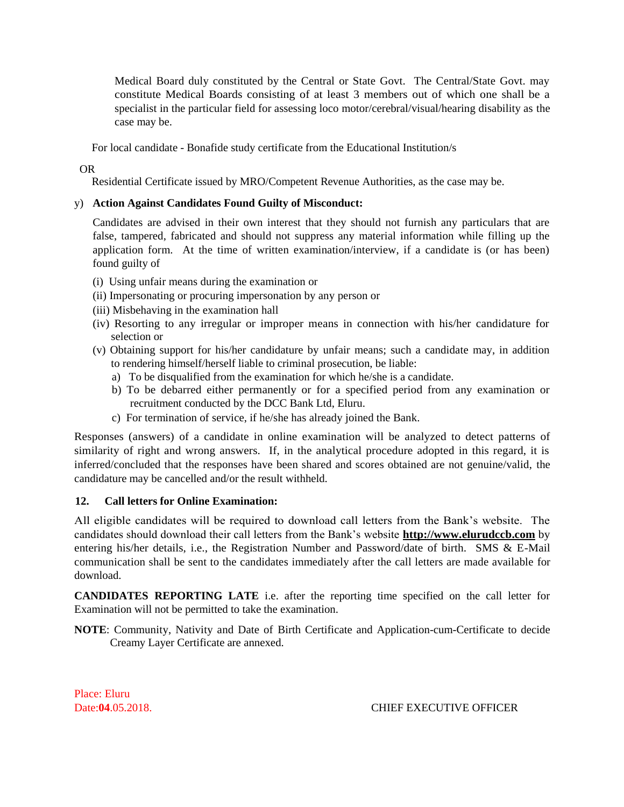Medical Board duly constituted by the Central or State Govt. The Central/State Govt. may constitute Medical Boards consisting of at least 3 members out of which one shall be a specialist in the particular field for assessing loco motor/cerebral/visual/hearing disability as the case may be.

For local candidate - Bonafide study certificate from the Educational Institution/s

### OR

Residential Certificate issued by MRO/Competent Revenue Authorities, as the case may be.

### y) **Action Against Candidates Found Guilty of Misconduct:**

Candidates are advised in their own interest that they should not furnish any particulars that are false, tampered, fabricated and should not suppress any material information while filling up the application form. At the time of written examination/interview, if a candidate is (or has been) found guilty of

- (i) Using unfair means during the examination or
- (ii) Impersonating or procuring impersonation by any person or
- (iii) Misbehaving in the examination hall
- (iv) Resorting to any irregular or improper means in connection with his/her candidature for selection or
- (v) Obtaining support for his/her candidature by unfair means; such a candidate may, in addition to rendering himself/herself liable to criminal prosecution, be liable:
	- a) To be disqualified from the examination for which he/she is a candidate.
	- b) To be debarred either permanently or for a specified period from any examination or recruitment conducted by the DCC Bank Ltd, Eluru.
	- c) For termination of service, if he/she has already joined the Bank.

Responses (answers) of a candidate in online examination will be analyzed to detect patterns of similarity of right and wrong answers. If, in the analytical procedure adopted in this regard, it is inferred/concluded that the responses have been shared and scores obtained are not genuine/valid, the candidature may be cancelled and/or the result withheld.

## **12. Call letters for Online Examination:**

All eligible candidates will be required to download call letters from the Bank's website. The candidates should download their call letters from the Bank's website **http://www.elurudccb.com** by entering his/her details, i.e., the Registration Number and Password/date of birth. SMS & E-Mail communication shall be sent to the candidates immediately after the call letters are made available for download.

**CANDIDATES REPORTING LATE** i.e. after the reporting time specified on the call letter for Examination will not be permitted to take the examination.

**NOTE**: Community, Nativity and Date of Birth Certificate and Application-cum-Certificate to decide Creamy Layer Certificate are annexed.

Place: Eluru

Date:**04**.05.2018. CHIEF EXECUTIVE OFFICER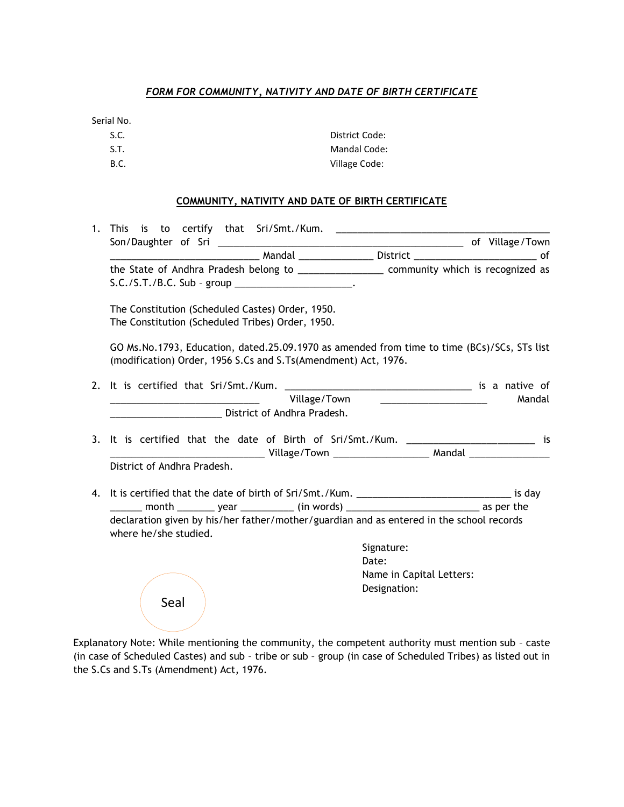### *FORM FOR COMMUNITY, NATIVITY AND DATE OF BIRTH CERTIFICATE*

Serial No.

| S.C.        | District Code:      |
|-------------|---------------------|
| S.T.        | <b>Mandal Code:</b> |
| <b>B.C.</b> | Village Code:       |

#### **COMMUNITY, NATIVITY AND DATE OF BIRTH CERTIFICATE**

| the State of Andhra Pradesh belong to ____________________ community which is recognized as<br>$S.C./S.T./B.C. Sub - group ________$                          |              |                                         |        |
|---------------------------------------------------------------------------------------------------------------------------------------------------------------|--------------|-----------------------------------------|--------|
| The Constitution (Scheduled Castes) Order, 1950.<br>The Constitution (Scheduled Tribes) Order, 1950.                                                          |              |                                         |        |
| GO Ms.No.1793, Education, dated.25.09.1970 as amended from time to time (BCs)/SCs, STs list<br>(modification) Order, 1956 S.Cs and S.Ts(Amendment) Act, 1976. |              |                                         |        |
|                                                                                                                                                               |              |                                         |        |
|                                                                                                                                                               | Village/Town | <u> 1980 - Johann Barbara, martin d</u> | Mandal |
| District of Andhra Pradesh.                                                                                                                                   |              |                                         |        |
|                                                                                                                                                               |              |                                         |        |
| 3. It is certified that the date of Birth of Sri/Smt./Kum. ___________________________ is                                                                     |              |                                         |        |
|                                                                                                                                                               |              |                                         |        |
| District of Andhra Pradesh.                                                                                                                                   |              |                                         |        |
|                                                                                                                                                               |              |                                         |        |
|                                                                                                                                                               |              |                                         |        |
| declaration given by his/her father/mother/guardian and as entered in the school records<br>where he/she studied.                                             |              |                                         |        |
|                                                                                                                                                               |              | Signature:                              |        |
|                                                                                                                                                               |              | Date:                                   |        |
|                                                                                                                                                               |              | Name in Capital Letters:                |        |
|                                                                                                                                                               |              | Designation:                            |        |
| Seal                                                                                                                                                          |              |                                         |        |
|                                                                                                                                                               |              |                                         |        |

Explanatory Note: While mentioning the community, the competent authority must mention sub – caste (in case of Scheduled Castes) and sub – tribe or sub – group (in case of Scheduled Tribes) as listed out in the S.Cs and S.Ts (Amendment) Act, 1976.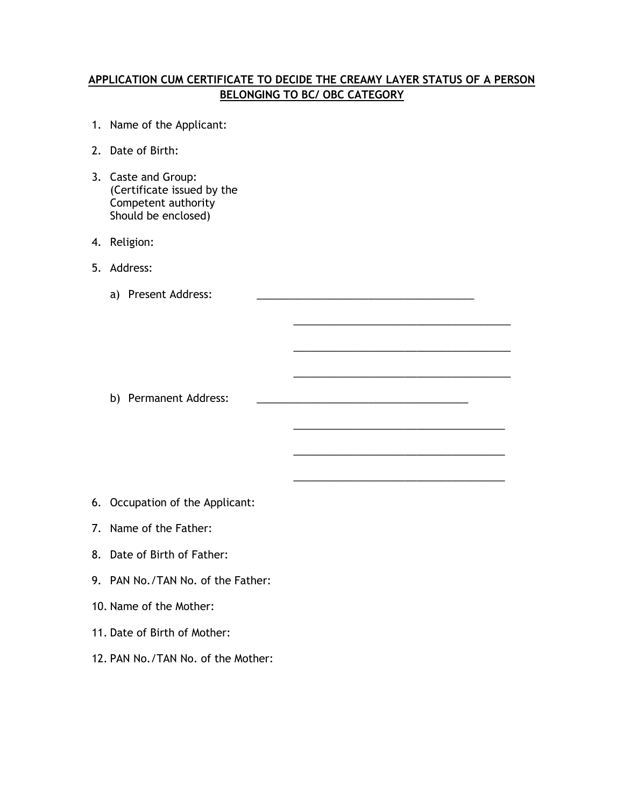## **APPLICATION CUM CERTIFICATE TO DECIDE THE CREAMY LAYER STATUS OF A PERSON BELONGING TO BC/ OBC CATEGORY**

\_\_\_\_\_\_\_\_\_\_\_\_\_\_\_\_\_\_\_\_\_\_\_\_\_\_\_\_\_\_\_\_\_\_\_\_\_

\_\_\_\_\_\_\_\_\_\_\_\_\_\_\_\_\_\_\_\_\_\_\_\_\_\_\_\_\_\_\_\_\_\_\_\_\_

\_\_\_\_\_\_\_\_\_\_\_\_\_\_\_\_\_\_\_\_\_\_\_\_\_\_\_\_\_\_\_\_\_\_\_\_\_

\_\_\_\_\_\_\_\_\_\_\_\_\_\_\_\_\_\_\_\_\_\_\_\_\_\_\_\_\_\_\_\_\_\_\_\_

\_\_\_\_\_\_\_\_\_\_\_\_\_\_\_\_\_\_\_\_\_\_\_\_\_\_\_\_\_\_\_\_\_\_\_\_

\_\_\_\_\_\_\_\_\_\_\_\_\_\_\_\_\_\_\_\_\_\_\_\_\_\_\_\_\_\_\_\_\_\_\_\_

- 1. Name of the Applicant:
- 2. Date of Birth:
- 3. Caste and Group: (Certificate issued by the Competent authority Should be enclosed)
- 4. Religion:
- 5. Address:
	- a) Present Address:

b) Permanent Address:

- 6. Occupation of the Applicant:
- 7. Name of the Father:
- 8. Date of Birth of Father:
- 9. PAN No./TAN No. of the Father:
- 10. Name of the Mother:
- 11. Date of Birth of Mother:
- 12. PAN No./TAN No. of the Mother: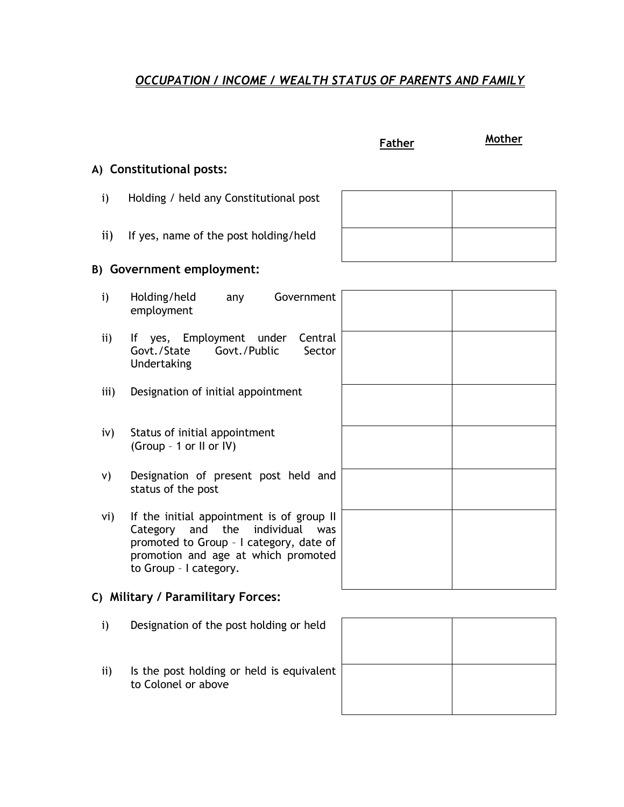# *OCCUPATION / INCOME / WEALTH STATUS OF PARENTS AND FAMILY*

| Father |
|--------|
|--------|

**Father Mother**

## **A) Constitutional posts:**

- i) Holding / held any Constitutional post
- ii) If yes, name of the post holding/held

# **B) Government employment:**

| $\mathbf{i}$                       | Government<br>Holding/held<br>any<br>employment                                                                                                                                                |  |  |
|------------------------------------|------------------------------------------------------------------------------------------------------------------------------------------------------------------------------------------------|--|--|
| $\mathbf{ii}$                      | If yes, Employment under<br>Central<br>Govt./Public<br>Govt./State<br>Sector<br>Undertaking                                                                                                    |  |  |
| iii)                               | Designation of initial appointment                                                                                                                                                             |  |  |
| iv)                                | Status of initial appointment<br>(Group - 1 or II or IV)                                                                                                                                       |  |  |
| V)                                 | Designation of present post held and<br>status of the post                                                                                                                                     |  |  |
| vi)                                | If the initial appointment is of group II<br>Category and the<br>individual<br>was<br>promoted to Group - I category, date of<br>promotion and age at which promoted<br>to Group - I category. |  |  |
| C) Military / Paramilitary Forces: |                                                                                                                                                                                                |  |  |

- 
- i) Designation of the post holding or held
- ii) Is the post holding or held is equivalent to Colonel or above

| t |  |
|---|--|
|   |  |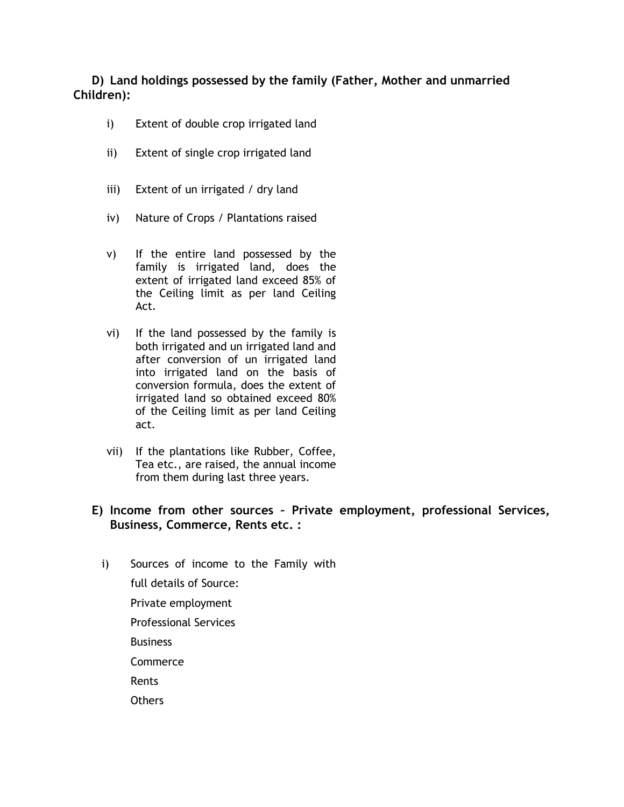## **D) Land holdings possessed by the family (Father, Mother and unmarried Children):**

- i) Extent of double crop irrigated land
- ii) Extent of single crop irrigated land
- iii) Extent of un irrigated / dry land
- iv) Nature of Crops / Plantations raised
- v) If the entire land possessed by the family is irrigated land, does the extent of irrigated land exceed 85% of the Ceiling limit as per land Ceiling Act.
- vi) If the land possessed by the family is both irrigated and un irrigated land and after conversion of un irrigated land into irrigated land on the basis of conversion formula, does the extent of irrigated land so obtained exceed 80% of the Ceiling limit as per land Ceiling act.
- vii) If the plantations like Rubber, Coffee, Tea etc., are raised, the annual income from them during last three years.

## **E) Income from other sources – Private employment, professional Services, Business, Commerce, Rents etc. :**

- i) Sources of income to the Family with full details of Source:
	- Private employment
	- Professional Services
	- **Business**
	- **Commerce**
	- Rents
	- **Others**